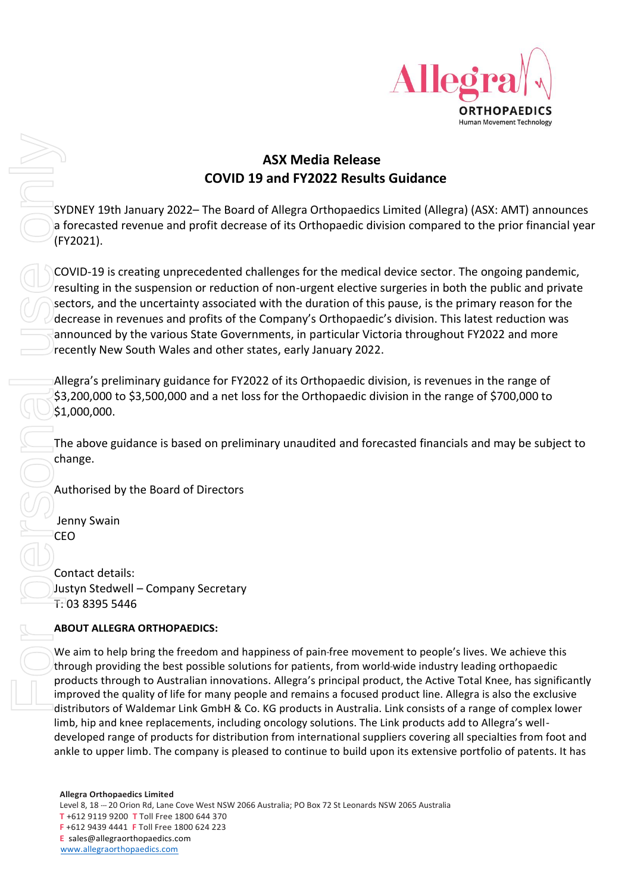

## **ASX Media Release COVID 19 and FY2022 Results Guidance**

SYDNEY 19th January 2022– The Board of Allegra Orthopaedics Limited (Allegra) (ASX: AMT) announces a forecasted revenue and profit decrease of its Orthopaedic division compared to the prior financial year (FY2021).

COVID-19 is creating unprecedented challenges for the medical device sector. The ongoing pandemic, resulting in the suspension or reduction of non-urgent elective surgeries in both the public and private sectors, and the uncertainty associated with the duration of this pause, is the primary reason for the decrease in revenues and profits of the Company's Orthopaedic's division. This latest reduction was announced by the various State Governments, in particular Victoria throughout FY2022 and more recently New South Wales and other states, early January 2022.

Allegra's preliminary guidance for FY2022 of its Orthopaedic division, is revenues in the range of \$3,200,000 to \$3,500,000 and a net loss for the Orthopaedic division in the range of \$700,000 to  $$1,000,000.$ 

The above guidance is based on preliminary unaudited and forecasted financials and may be subject to change.

Authorised by the Board of Directors

Jenny Swain CEO

Contact details: Justyn Stedwell – Company Secretary T: 03 8395 5446

## **ABOUT ALLEGRA ORTHOPAEDICS:**

We aim to help bring the freedom and happiness of pain-free movement to people's lives. We achieve this through providing the best possible solutions for patients, from world-wide industry leading orthopaedic products through to Australian innovations. Allegra's principal product, the Active Total Knee, has significantly improved the quality of life for many people and remains a focused product line. Allegra is also the exclusive distributors of Waldemar Link GmbH & Co. KG products in Australia. Link consists of a range of complex lower limb, hip and knee replacements, including oncology solutions. The Link products add to Allegra's welldeveloped range of products for distribution from international suppliers covering all specialties from foot and **EXERCT SOFT ANKLER INTERNATION CONTROLL ANCHOR CONTROLL ANCHOR CONTROLL ANCHOR CONTROLL ANCHOR CONTROLL ANCHOR CONTROLL ANCHOR CONTROLL ANCHOR CONTROLL ANCHOR CONTROLL ANCHOR CONTROLL AND INTERNATION CONTROLL AND INTERNAT**